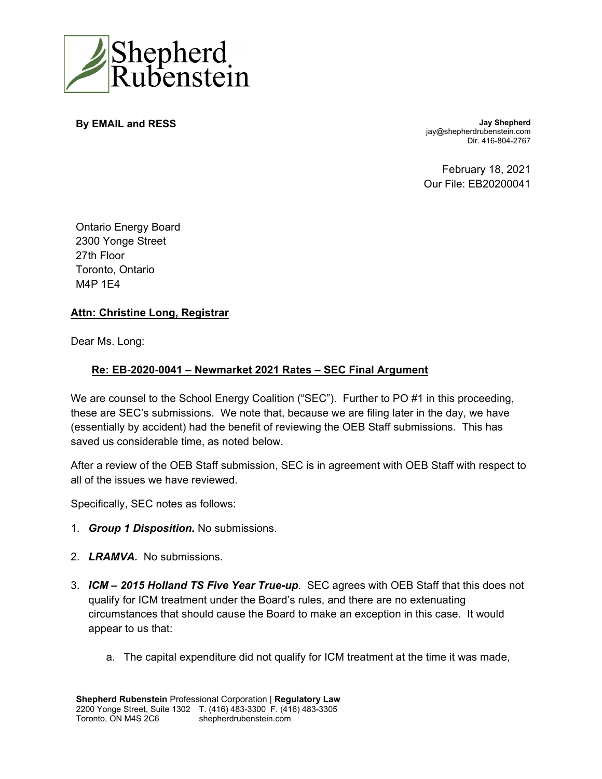

**By EMAIL and RESS Jay Shepherd** jay@shepherdrubenstein.com Dir. 416-804-2767

> February 18, 2021 Our File: EB20200041

Ontario Energy Board 2300 Yonge Street 27th Floor Toronto, Ontario M4P 1E4

## **Attn: Christine Long, Registrar**

Dear Ms. Long:

## **Re: EB-2020-0041 – Newmarket 2021 Rates – SEC Final Argument**

We are counsel to the School Energy Coalition ("SEC"). Further to PO #1 in this proceeding, these are SEC's submissions. We note that, because we are filing later in the day, we have (essentially by accident) had the benefit of reviewing the OEB Staff submissions. This has saved us considerable time, as noted below.

After a review of the OEB Staff submission, SEC is in agreement with OEB Staff with respect to all of the issues we have reviewed.

Specifically, SEC notes as follows:

- 1. *Group 1 Disposition.* No submissions.
- 2. *LRAMVA.* No submissions.
- 3. *ICM 2015 Holland TS Five Year True-up*. SEC agrees with OEB Staff that this does not qualify for ICM treatment under the Board's rules, and there are no extenuating circumstances that should cause the Board to make an exception in this case. It would appear to us that:
	- a. The capital expenditure did not qualify for ICM treatment at the time it was made,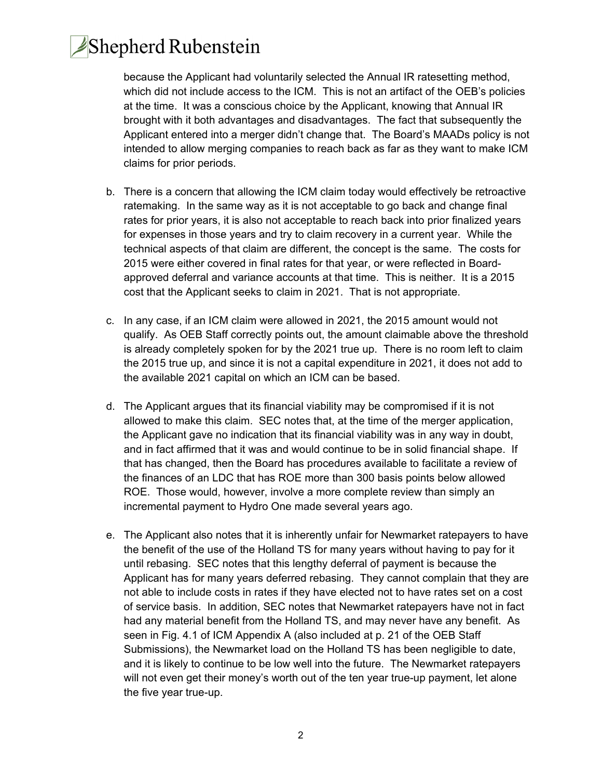## Shepherd Rubenstein

because the Applicant had voluntarily selected the Annual IR ratesetting method, which did not include access to the ICM. This is not an artifact of the OEB's policies at the time. It was a conscious choice by the Applicant, knowing that Annual IR brought with it both advantages and disadvantages. The fact that subsequently the Applicant entered into a merger didn't change that. The Board's MAADs policy is not intended to allow merging companies to reach back as far as they want to make ICM claims for prior periods.

- b. There is a concern that allowing the ICM claim today would effectively be retroactive ratemaking. In the same way as it is not acceptable to go back and change final rates for prior years, it is also not acceptable to reach back into prior finalized years for expenses in those years and try to claim recovery in a current year. While the technical aspects of that claim are different, the concept is the same. The costs for 2015 were either covered in final rates for that year, or were reflected in Boardapproved deferral and variance accounts at that time. This is neither. It is a 2015 cost that the Applicant seeks to claim in 2021. That is not appropriate.
- c. In any case, if an ICM claim were allowed in 2021, the 2015 amount would not qualify. As OEB Staff correctly points out, the amount claimable above the threshold is already completely spoken for by the 2021 true up. There is no room left to claim the 2015 true up, and since it is not a capital expenditure in 2021, it does not add to the available 2021 capital on which an ICM can be based.
- d. The Applicant argues that its financial viability may be compromised if it is not allowed to make this claim. SEC notes that, at the time of the merger application, the Applicant gave no indication that its financial viability was in any way in doubt, and in fact affirmed that it was and would continue to be in solid financial shape. If that has changed, then the Board has procedures available to facilitate a review of the finances of an LDC that has ROE more than 300 basis points below allowed ROE. Those would, however, involve a more complete review than simply an incremental payment to Hydro One made several years ago.
- e. The Applicant also notes that it is inherently unfair for Newmarket ratepayers to have the benefit of the use of the Holland TS for many years without having to pay for it until rebasing. SEC notes that this lengthy deferral of payment is because the Applicant has for many years deferred rebasing. They cannot complain that they are not able to include costs in rates if they have elected not to have rates set on a cost of service basis. In addition, SEC notes that Newmarket ratepayers have not in fact had any material benefit from the Holland TS, and may never have any benefit. As seen in Fig. 4.1 of ICM Appendix A (also included at p. 21 of the OEB Staff Submissions), the Newmarket load on the Holland TS has been negligible to date, and it is likely to continue to be low well into the future. The Newmarket ratepayers will not even get their money's worth out of the ten year true-up payment, let alone the five year true-up.